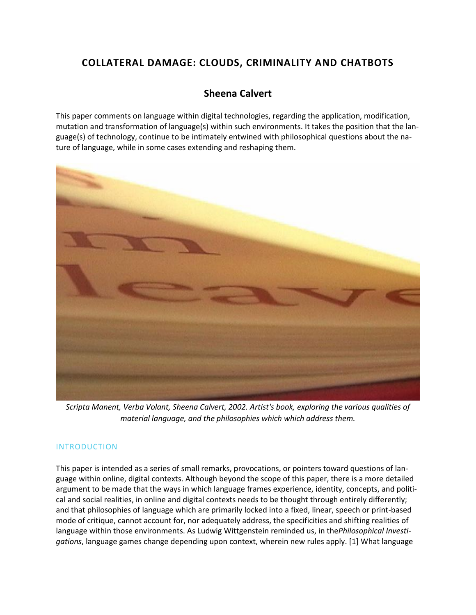# **COLLATERAL DAMAGE: CLOUDS, CRIMINALITY AND CHATBOTS**

# **Sheena Calvert**

This paper comments on language within digital technologies, regarding the application, modification, mutation and transformation of language(s) within such environments. It takes the position that the language(s) of technology, continue to be intimately entwined with philosophical questions about the nature of language, while in some cases extending and reshaping them.



*Scripta Manent, Verba Volant, Sheena Calvert, 2002. Artist's book, exploring the various qualities of material language, and the philosophies which which address them.*

#### INTRODUCTION

This paper is intended as a series of small remarks, provocations, or pointers toward questions of language within online, digital contexts. Although beyond the scope of this paper, there is a more detailed argument to be made that the ways in which language frames experience, identity, concepts, and political and social realities, in online and digital contexts needs to be thought through entirely differently; and that philosophies of language which are primarily locked into a fixed, linear, speech or print-based mode of critique, cannot account for, nor adequately address, the specificities and shifting realities of language within those environments. As Ludwig Wittgenstein reminded us, in the*Philosophical Investigations*, language games change depending upon context, wherein new rules apply. [1] What language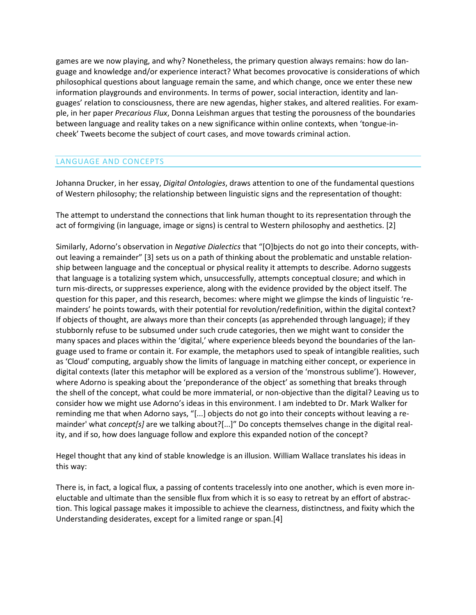games are we now playing, and why? Nonetheless, the primary question always remains: how do language and knowledge and/or experience interact? What becomes provocative is considerations of which philosophical questions about language remain the same, and which change, once we enter these new information playgrounds and environments. In terms of power, social interaction, identity and languages' relation to consciousness, there are new agendas, higher stakes, and altered realities. For example, in her paper *Precarious Flux*, Donna Leishman argues that testing the porousness of the boundaries between language and reality takes on a new significance within online contexts, when 'tongue-incheek' Tweets become the subject of court cases, and move towards criminal action.

# LANGUAGE AND CONCEPTS

Johanna Drucker, in her essay, *Digital Ontologies*, draws attention to one of the fundamental questions of Western philosophy; the relationship between linguistic signs and the representation of thought:

The attempt to understand the connections that link human thought to its representation through the act of formgiving (in language, image or signs) is central to Western philosophy and aesthetics. [2]

Similarly, Adorno's observation in *Negative Dialectics* that "[O]bjects do not go into their concepts, without leaving a remainder" [3] sets us on a path of thinking about the problematic and unstable relationship between language and the conceptual or physical reality it attempts to describe. Adorno suggests that language is a totalizing system which, unsuccessfully, attempts conceptual closure; and which in turn mis-directs, or suppresses experience, along with the evidence provided by the object itself. The question for this paper, and this research, becomes: where might we glimpse the kinds of linguistic 'remainders' he points towards, with their potential for revolution/redefinition, within the digital context? If objects of thought, are always more than their concepts (as apprehended through language); if they stubbornly refuse to be subsumed under such crude categories, then we might want to consider the many spaces and places within the 'digital,' where experience bleeds beyond the boundaries of the language used to frame or contain it. For example, the metaphors used to speak of intangible realities, such as 'Cloud' computing, arguably show the limits of language in matching either concept, or experience in digital contexts (later this metaphor will be explored as a version of the 'monstrous sublime'). However, where Adorno is speaking about the 'preponderance of the object' as something that breaks through the shell of the concept, what could be more immaterial, or non-objective than the digital? Leaving us to consider how we might use Adorno's ideas in this environment. I am indebted to Dr. Mark Walker for reminding me that when Adorno says, "[...] objects do not go into their concepts without leaving a remainder' what *concept[s]* are we talking about?[...]" Do concepts themselves change in the digital reality, and if so, how does language follow and explore this expanded notion of the concept?

Hegel thought that any kind of stable knowledge is an illusion. William Wallace translates his ideas in this way:

There is, in fact, a logical flux, a passing of contents tracelessly into one another, which is even more ineluctable and ultimate than the sensible flux from which it is so easy to retreat by an effort of abstraction. This logical passage makes it impossible to achieve the clearness, distinctness, and fixity which the Understanding desiderates, except for a limited range or span.[4]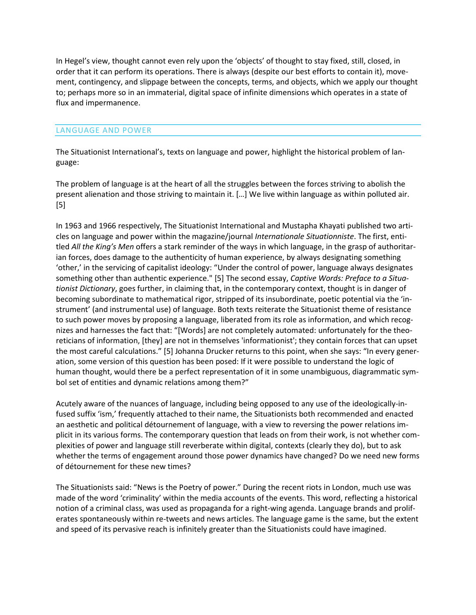In Hegel's view, thought cannot even rely upon the 'objects' of thought to stay fixed, still, closed, in order that it can perform its operations. There is always (despite our best efforts to contain it), movement, contingency, and slippage between the concepts, terms, and objects, which we apply our thought to; perhaps more so in an immaterial, digital space of infinite dimensions which operates in a state of flux and impermanence.

## LANGUAGE AND POWER

The Situationist International's, texts on language and power, highlight the historical problem of language:

The problem of language is at the heart of all the struggles between the forces striving to abolish the present alienation and those striving to maintain it. […] We live within language as within polluted air. [5]

In 1963 and 1966 respectively, The Situationist International and Mustapha Khayati published two articles on language and power within the magazine/journal *Internationale Situationniste*. The first, entitled *All the King's Men* offers a stark reminder of the ways in which language, in the grasp of authoritarian forces, does damage to the authenticity of human experience, by always designating something 'other,' in the servicing of capitalist ideology: "Under the control of power, language always designates something other than authentic experience." [5] The second essay, *Captive Words: Preface to a Situationist Dictionary*, goes further, in claiming that, in the contemporary context, thought is in danger of becoming subordinate to mathematical rigor, stripped of its insubordinate, poetic potential via the 'instrument' (and instrumental use) of language. Both texts reiterate the Situationist theme of resistance to such power moves by proposing a language, liberated from its role as information, and which recognizes and harnesses the fact that: "[Words] are not completely automated: unfortunately for the theoreticians of information, [they] are not in themselves 'informationist'; they contain forces that can upset the most careful calculations." [5] Johanna Drucker returns to this point, when she says: "In every generation, some version of this question has been posed: If it were possible to understand the logic of human thought, would there be a perfect representation of it in some unambiguous, diagrammatic symbol set of entities and dynamic relations among them?"

Acutely aware of the nuances of language, including being opposed to any use of the ideologically-infused suffix 'ism,' frequently attached to their name, the Situationists both recommended and enacted an aesthetic and political détournement of language, with a view to reversing the power relations implicit in its various forms. The contemporary question that leads on from their work, is not whether complexities of power and language still reverberate within digital, contexts (clearly they do), but to ask whether the terms of engagement around those power dynamics have changed? Do we need new forms of détournement for these new times?

The Situationists said: "News is the Poetry of power." During the recent riots in London, much use was made of the word 'criminality' within the media accounts of the events. This word, reflecting a historical notion of a criminal class, was used as propaganda for a right-wing agenda. Language brands and proliferates spontaneously within re-tweets and news articles. The language game is the same, but the extent and speed of its pervasive reach is infinitely greater than the Situationists could have imagined.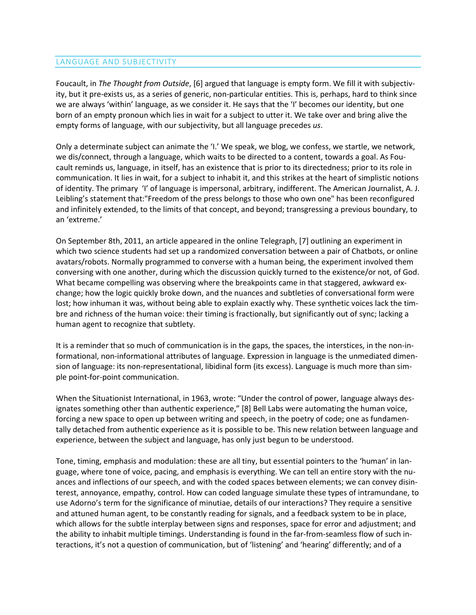#### LANGUAGE AND SUBJECTIVITY

Foucault, in *The Thought from Outside*, [6] argued that language is empty form. We fill it with subjectivity, but it pre-exists us, as a series of generic, non-particular entities. This is, perhaps, hard to think since we are always 'within' language, as we consider it. He says that the 'I' becomes our identity, but one born of an empty pronoun which lies in wait for a subject to utter it. We take over and bring alive the empty forms of language, with our subjectivity, but all language precedes *us*.

Only a determinate subject can animate the 'I.' We speak, we blog, we confess, we startle, we network, we dis/connect, through a language, which waits to be directed to a content, towards a goal. As Foucault reminds us, language, in itself, has an existence that is prior to its directedness; prior to its role in communication. It lies in wait, for a subject to inhabit it, and this strikes at the heart of simplistic notions of identity. The primary 'I' of language is impersonal, arbitrary, indifferent. The American Journalist, A. J. Leibling's statement that:"Freedom of the press belongs to those who own one" has been reconfigured and infinitely extended, to the limits of that concept, and beyond; transgressing a previous boundary, to an 'extreme.'

On September 8th, 2011, an article appeared in the online Telegraph, [7] outlining an experiment in which two science students had set up a randomized conversation between a pair of Chatbots, or online avatars/robots. Normally programmed to converse with a human being, the experiment involved them conversing with one another, during which the discussion quickly turned to the existence/or not, of God. What became compelling was observing where the breakpoints came in that staggered, awkward exchange; how the logic quickly broke down, and the nuances and subtleties of conversational form were lost; how inhuman it was, without being able to explain exactly why. These synthetic voices lack the timbre and richness of the human voice: their timing is fractionally, but significantly out of sync; lacking a human agent to recognize that subtlety.

It is a reminder that so much of communication is in the gaps, the spaces, the interstices, in the non-informational, non-informational attributes of language. Expression in language is the unmediated dimension of language: its non-representational, libidinal form (its excess). Language is much more than simple point-for-point communication.

When the Situationist International, in 1963, wrote: "Under the control of power, language always designates something other than authentic experience," [8] Bell Labs were automating the human voice, forcing a new space to open up between writing and speech, in the poetry of code; one as fundamentally detached from authentic experience as it is possible to be. This new relation between language and experience, between the subject and language, has only just begun to be understood.

Tone, timing, emphasis and modulation: these are all tiny, but essential pointers to the 'human' in language, where tone of voice, pacing, and emphasis is everything. We can tell an entire story with the nuances and inflections of our speech, and with the coded spaces between elements; we can convey disinterest, annoyance, empathy, control. How can coded language simulate these types of intramundane, to use Adorno's term for the significance of minutiae, details of our interactions? They require a sensitive and attuned human agent, to be constantly reading for signals, and a feedback system to be in place, which allows for the subtle interplay between signs and responses, space for error and adjustment; and the ability to inhabit multiple timings. Understanding is found in the far-from-seamless flow of such interactions, it's not a question of communication, but of 'listening' and 'hearing' differently; and of a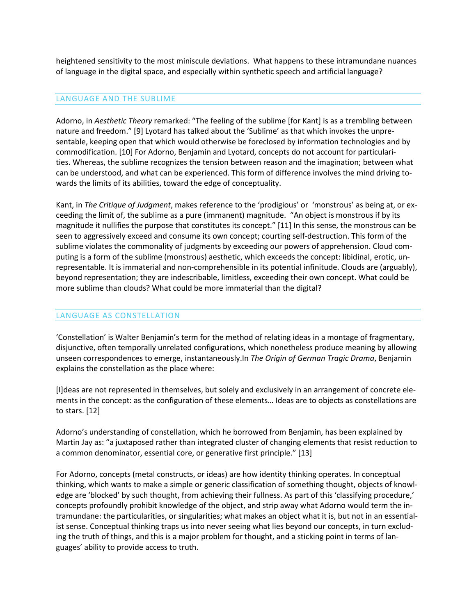heightened sensitivity to the most miniscule deviations. What happens to these intramundane nuances of language in the digital space, and especially within synthetic speech and artificial language?

#### LANGUAGE AND THE SUBLIME

Adorno, in *Aesthetic Theory* remarked: "The feeling of the sublime [for Kant] is as a trembling between nature and freedom." [9] Lyotard has talked about the 'Sublime' as that which invokes the unpresentable, keeping open that which would otherwise be foreclosed by information technologies and by commodification. [10] For Adorno, Benjamin and Lyotard, concepts do not account for particularities. Whereas, the sublime recognizes the tension between reason and the imagination; between what can be understood, and what can be experienced. This form of difference involves the mind driving towards the limits of its abilities, toward the edge of conceptuality.

Kant, in *The Critique of Judgment*, makes reference to the 'prodigious' or 'monstrous' as being at, or exceeding the limit of, the sublime as a pure (immanent) magnitude. "An object is monstrous if by its magnitude it nullifies the purpose that constitutes its concept." [11] In this sense, the monstrous can be seen to aggressively exceed and consume its own concept; courting self-destruction. This form of the sublime violates the commonality of judgments by exceeding our powers of apprehension. Cloud computing is a form of the sublime (monstrous) aesthetic, which exceeds the concept: libidinal, erotic, unrepresentable. It is immaterial and non-comprehensible in its potential infinitude. Clouds are (arguably), beyond representation; they are indescribable, limitless, exceeding their own concept. What could be more sublime than clouds? What could be more immaterial than the digital?

#### LANGUAGE AS CONSTELLATION

'Constellation' is Walter Benjamin's term for the method of relating ideas in a montage of fragmentary, disjunctive, often temporally unrelated configurations, which nonetheless produce meaning by allowing unseen correspondences to emerge, instantaneously.In *The Origin of German Tragic Drama*, Benjamin explains the constellation as the place where:

[I]deas are not represented in themselves, but solely and exclusively in an arrangement of concrete elements in the concept: as the configuration of these elements… Ideas are to objects as constellations are to stars. [12]

Adorno's understanding of constellation, which he borrowed from Benjamin, has been explained by Martin Jay as: "a juxtaposed rather than integrated cluster of changing elements that resist reduction to a common denominator, essential core, or generative first principle." [13]

For Adorno, concepts (metal constructs, or ideas) are how identity thinking operates. In conceptual thinking, which wants to make a simple or generic classification of something thought, objects of knowledge are 'blocked' by such thought, from achieving their fullness. As part of this 'classifying procedure,' concepts profoundly prohibit knowledge of the object, and strip away what Adorno would term the intramundane: the particularities, or singularities; what makes an object what it is, but not in an essentialist sense. Conceptual thinking traps us into never seeing what lies beyond our concepts, in turn excluding the truth of things, and this is a major problem for thought, and a sticking point in terms of languages' ability to provide access to truth.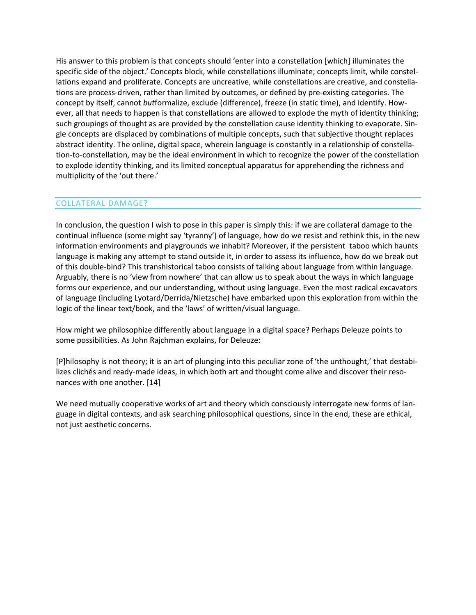His answer to this problem is that concepts should 'enter into a constellation [which] illuminates the specific side of the object.' Concepts block, while constellations illuminate; concepts limit, while constellations expand and proliferate. Concepts are uncreative, while constellations are creative, and constellations are process-driven, rather than limited by outcomes, or defined by pre-existing categories. The concept by itself, cannot *but*formalize, exclude (difference), freeze (in static time), and identify. However, all that needs to happen is that constellations are allowed to explode the myth of identity thinking; such groupings of thought as are provided by the constellation cause identity thinking to evaporate. Single concepts are displaced by combinations of multiple concepts, such that subjective thought replaces abstract identity. The online, digital space, wherein language is constantly in a relationship of constellation-to-constellation, may be the ideal environment in which to recognize the power of the constellation to explode identity thinking, and its limited conceptual apparatus for apprehending the richness and multiplicity of the 'out there.'

### COLLATERAL DAMAGE?

In conclusion, the question I wish to pose in this paper is simply this: if we are collateral damage to the continual influence (some might say 'tyranny') of language, how do we resist and rethink this, in the new information environments and playgrounds we inhabit? Moreover, if the persistent taboo which haunts language is making any attempt to stand outside it, in order to assess its influence, how do we break out of this double-bind? This transhistorical taboo consists of talking about language from within language. Arguably, there is no 'view from nowhere' that can allow us to speak about the ways in which language forms our experience, and our understanding, without using language. Even the most radical excavators of language (including Lyotard/Derrida/Nietzsche) have embarked upon this exploration from within the logic of the linear text/book, and the 'laws' of written/visual language.

How might we philosophize differently about language in a digital space? Perhaps Deleuze points to some possibilities. As John Rajchman explains, for Deleuze:

[P]hilosophy is not theory; it is an art of plunging into this peculiar zone of 'the unthought,' that destabilizes clichés and ready-made ideas, in which both art and thought come alive and discover their resonances with one another. [14]

We need mutually cooperative works of art and theory which consciously interrogate new forms of language in digital contexts, and ask searching philosophical questions, since in the end, these are ethical, not just aesthetic concerns.